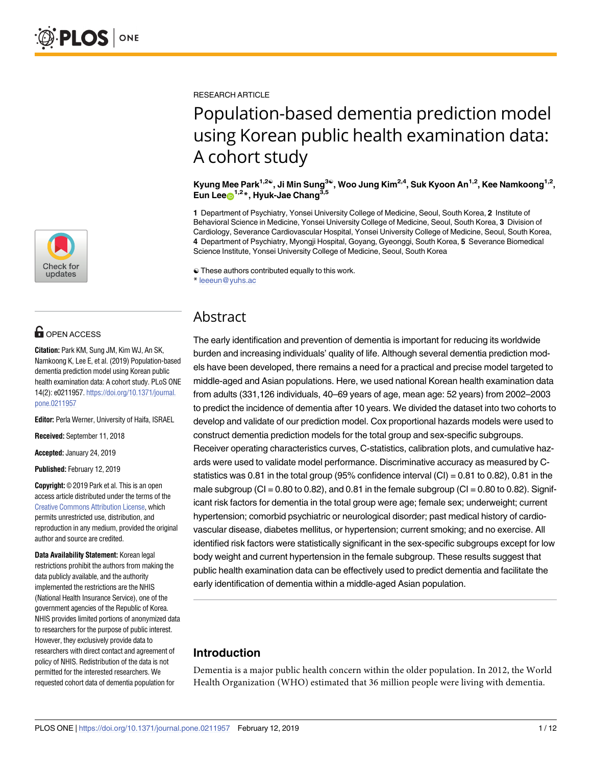

# **OPEN ACCESS**

**Citation:** Park KM, Sung JM, Kim WJ, An SK, Namkoong K, Lee E, et al. (2019) Population-based dementia prediction model using Korean public health examination data: A cohort study. PLoS ONE 14(2): e0211957. [https://doi.org/10.1371/journal.](https://doi.org/10.1371/journal.pone.0211957) [pone.0211957](https://doi.org/10.1371/journal.pone.0211957)

**Editor:** Perla Werner, University of Haifa, ISRAEL

**Received:** September 11, 2018

**Accepted:** January 24, 2019

**Published:** February 12, 2019

**Copyright:** © 2019 Park et al. This is an open access article distributed under the terms of the Creative Commons [Attribution](http://creativecommons.org/licenses/by/4.0/) License, which permits unrestricted use, distribution, and reproduction in any medium, provided the original author and source are credited.

**Data Availability Statement:** Korean legal restrictions prohibit the authors from making the data publicly available, and the authority implemented the restrictions are the NHIS (National Health Insurance Service), one of the government agencies of the Republic of Korea. NHIS provides limited portions of anonymized data to researchers for the purpose of public interest. However, they exclusively provide data to researchers with direct contact and agreement of policy of NHIS. Redistribution of the data is not permitted for the interested researchers. We requested cohort data of dementia population for

RESEARCH ARTICLE

# Population-based dementia prediction model using Korean public health examination data: A cohort study

**Kyung Mee Park1,2**☯**, Ji Min Sung3**☯**, Woo Jung Kim2,4, Suk Kyoon An1,2, Kee Namkoong1,2, Eun Lee**<sup>1,2</sup><sup>\*</sup>, Hyuk-Jae Chang<sup>3,5</sup>

**1** Department of Psychiatry, Yonsei University College of Medicine, Seoul, South Korea, **2** Institute of Behavioral Science in Medicine, Yonsei University College of Medicine, Seoul, South Korea, **3** Division of Cardiology, Severance Cardiovascular Hospital, Yonsei University College of Medicine, Seoul, South Korea, **4** Department of Psychiatry, Myongji Hospital, Goyang, Gyeonggi, South Korea, **5** Severance Biomedical Science Institute, Yonsei University College of Medicine, Seoul, South Korea

☯ These authors contributed equally to this work.

\* leeeun@yuhs.ac

# Abstract

The early identification and prevention of dementia is important for reducing its worldwide burden and increasing individuals' quality of life. Although several dementia prediction models have been developed, there remains a need for a practical and precise model targeted to middle-aged and Asian populations. Here, we used national Korean health examination data from adults (331,126 individuals, 40–69 years of age, mean age: 52 years) from 2002–2003 to predict the incidence of dementia after 10 years. We divided the dataset into two cohorts to develop and validate of our prediction model. Cox proportional hazards models were used to construct dementia prediction models for the total group and sex-specific subgroups. Receiver operating characteristics curves, C-statistics, calibration plots, and cumulative hazards were used to validate model performance. Discriminative accuracy as measured by Cstatistics was 0.81 in the total group (95% confidence interval  $|CI|$  = 0.81 to 0.82), 0.81 in the male subgroup (CI =  $0.80$  to  $0.82$ ), and  $0.81$  in the female subgroup (CI =  $0.80$  to  $0.82$ ). Significant risk factors for dementia in the total group were age; female sex; underweight; current hypertension; comorbid psychiatric or neurological disorder; past medical history of cardiovascular disease, diabetes mellitus, or hypertension; current smoking; and no exercise. All identified risk factors were statistically significant in the sex-specific subgroups except for low body weight and current hypertension in the female subgroup. These results suggest that public health examination data can be effectively used to predict dementia and facilitate the early identification of dementia within a middle-aged Asian population.

# **Introduction**

Dementia is a major public health concern within the older population. In 2012, the World Health Organization (WHO) estimated that 36 million people were living with dementia.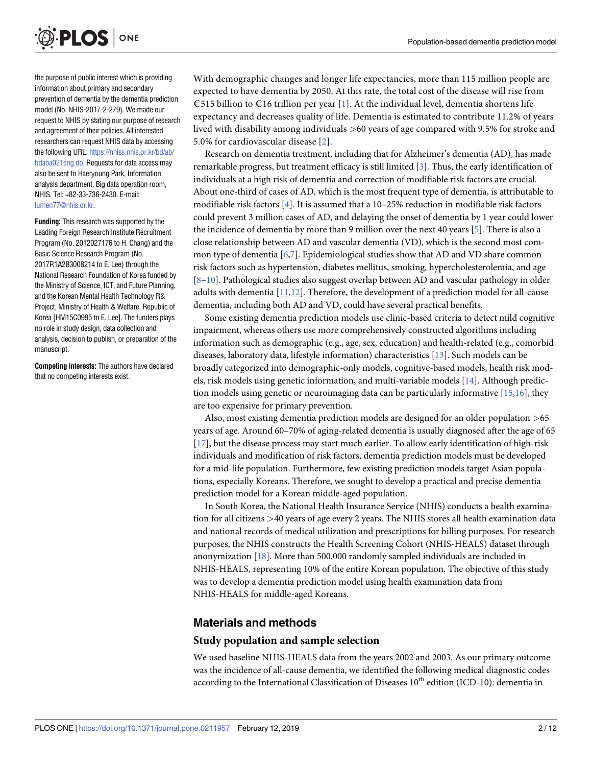<span id="page-1-0"></span>

the purpose of public interest which is providing information about primary and secondary prevention of dementia by the dementia prediction model (No. NHIS-2017-2-279). We made our request to NHIS by stating our purpose of research and agreement of their policies. All interested researchers can request NHIS data by accessing the following URL: [https://nhiss.nhis.or.kr/bd/ab/](https://nhiss.nhis.or.kr/bd/ab/bdaba021eng.do) [bdaba021eng.do.](https://nhiss.nhis.or.kr/bd/ab/bdaba021eng.do) Requests for data access may also be sent to Haeryoung Park, Information analysis department, Big data operation room, NHIS. Tel: +82-33-736-2430. E-mail: [lumen77@nhis.or.kr](mailto:lumen77@nhis.or.kr).

**Funding:** This research was supported by the Leading Foreign Research Institute Recruitment Program (No. 2012027176 to H. Chang) and the Basic Science Research Program (No. 2017R1A2B3008214 to E. Lee) through the National Research Foundation of Korea funded by the Ministry of Science, ICT, and Future Planning, and the Korean Mental Health Technology R& Project, Ministry of Health & Welfare, Republic of Korea [HM15C0995 to E. Lee]. The funders plays no role in study design, data collection and analysis, decision to publish, or preparation of the manuscript.

**Competing interests:** The authors have declared that no competing interests exist.

With demographic changes and longer life expectancies, more than 115 million people are expected to have dementia by 2050. At this rate, the total cost of the disease will rise from €515 billion to €16 trillion per year [\[1](#page-9-0)]. At the individual level, dementia shortens life expectancy and decreases quality of life. Dementia is estimated to contribute 11.2% of years lived with disability among individuals *>*60 years of age compared with 9.5% for stroke and 5.0% for cardiovascular disease [[2\]](#page-10-0).

Research on dementia treatment, including that for Alzheimer's dementia (AD), has made remarkable progress, but treatment efficacy is still limited [[3\]](#page-10-0). Thus, the early identification of individuals at a high risk of dementia and correction of modifiable risk factors are crucial. About one-third of cases of AD, which is the most frequent type of dementia, is attributable to modifiable risk factors [[4](#page-10-0)]. It is assumed that a 10–25% reduction in modifiable risk factors could prevent 3 million cases of AD, and delaying the onset of dementia by 1 year could lower the incidence of dementia by more than 9 million over the next 40 years [[5](#page-10-0)]. There is also a close relationship between AD and vascular dementia (VD), which is the second most common type of dementia [\[6,7](#page-10-0)]. Epidemiological studies show that AD and VD share common risk factors such as hypertension, diabetes mellitus, smoking, hypercholesterolemia, and age [\[8–10\]](#page-10-0). Pathological studies also suggest overlap between AD and vascular pathology in older adults with dementia [\[11,12](#page-10-0)]. Therefore, the development of a prediction model for all-cause dementia, including both AD and VD, could have several practical benefits.

Some existing dementia prediction models use clinic-based criteria to detect mild cognitive impairment, whereas others use more comprehensively constructed algorithms including information such as demographic (e.g., age, sex, education) and health-related (e.g., comorbid diseases, laboratory data, lifestyle information) characteristics [[13](#page-10-0)]. Such models can be broadly categorized into demographic-only models, cognitive-based models, health risk models, risk models using genetic information, and multi-variable models [\[14\]](#page-10-0). Although prediction models using genetic or neuroimaging data can be particularly informative [\[15,16](#page-10-0)], they are too expensive for primary prevention.

Also, most existing dementia prediction models are designed for an older population *>*65 years of age. Around 60–70% of aging-related dementia is usually diagnosed after the age of 65 [\[17\]](#page-10-0), but the disease process may start much earlier. To allow early identification of high-risk individuals and modification of risk factors, dementia prediction models must be developed for a mid-life population. Furthermore, few existing prediction models target Asian populations, especially Koreans. Therefore, we sought to develop a practical and precise dementia prediction model for a Korean middle-aged population.

In South Korea, the National Health Insurance Service (NHIS) conducts a health examination for all citizens *>*40 years of age every 2 years. The NHIS stores all health examination data and national records of medical utilization and prescriptions for billing purposes. For research purposes, the NHIS constructs the Health Screening Cohort (NHIS-HEALS) dataset through anonymization [\[18\]](#page-10-0). More than 500,000 randomly sampled individuals are included in NHIS-HEALS, representing 10% of the entire Korean population. The objective of this study was to develop a dementia prediction model using health examination data from NHIS-HEALS for middle-aged Koreans.

## **Materials and methods**

#### **Study population and sample selection**

We used baseline NHIS-HEALS data from the years 2002 and 2003. As our primary outcome was the incidence of all-cause dementia, we identified the following medical diagnostic codes according to the International Classification of Diseases  $10^{th}$  edition (ICD-10): dementia in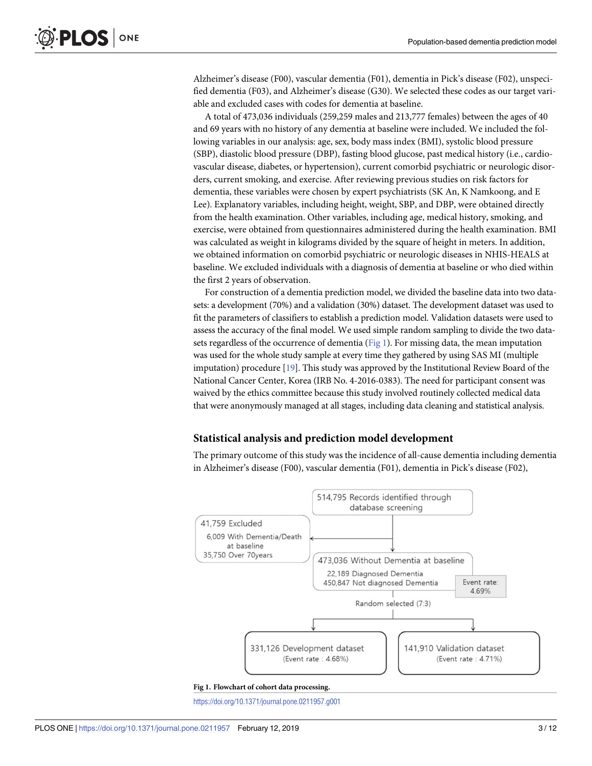<span id="page-2-0"></span>Alzheimer's disease (F00), vascular dementia (F01), dementia in Pick's disease (F02), unspecified dementia (F03), and Alzheimer's disease (G30). We selected these codes as our target variable and excluded cases with codes for dementia at baseline.

A total of 473,036 individuals (259,259 males and 213,777 females) between the ages of 40 and 69 years with no history of any dementia at baseline were included. We included the following variables in our analysis: age, sex, body mass index (BMI), systolic blood pressure (SBP), diastolic blood pressure (DBP), fasting blood glucose, past medical history (i.e., cardiovascular disease, diabetes, or hypertension), current comorbid psychiatric or neurologic disorders, current smoking, and exercise. After reviewing previous studies on risk factors for dementia, these variables were chosen by expert psychiatrists (SK An, K Namkoong, and E Lee). Explanatory variables, including height, weight, SBP, and DBP, were obtained directly from the health examination. Other variables, including age, medical history, smoking, and exercise, were obtained from questionnaires administered during the health examination. BMI was calculated as weight in kilograms divided by the square of height in meters. In addition, we obtained information on comorbid psychiatric or neurologic diseases in NHIS-HEALS at baseline. We excluded individuals with a diagnosis of dementia at baseline or who died within the first 2 years of observation.

For construction of a dementia prediction model, we divided the baseline data into two datasets: a development (70%) and a validation (30%) dataset. The development dataset was used to fit the parameters of classifiers to establish a prediction model. Validation datasets were used to assess the accuracy of the final model. We used simple random sampling to divide the two datasets regardless of the occurrence of dementia (Fig 1). For missing data, the mean imputation was used for the whole study sample at every time they gathered by using SAS MI (multiple imputation) procedure [[19](#page-10-0)]. This study was approved by the Institutional Review Board of the National Cancer Center, Korea (IRB No. 4-2016-0383). The need for participant consent was waived by the ethics committee because this study involved routinely collected medical data that were anonymously managed at all stages, including data cleaning and statistical analysis.

#### **Statistical analysis and prediction model development**

The primary outcome of this study was the incidence of all-cause dementia including dementia in Alzheimer's disease (F00), vascular dementia (F01), dementia in Pick's disease (F02),



<https://doi.org/10.1371/journal.pone.0211957.g001>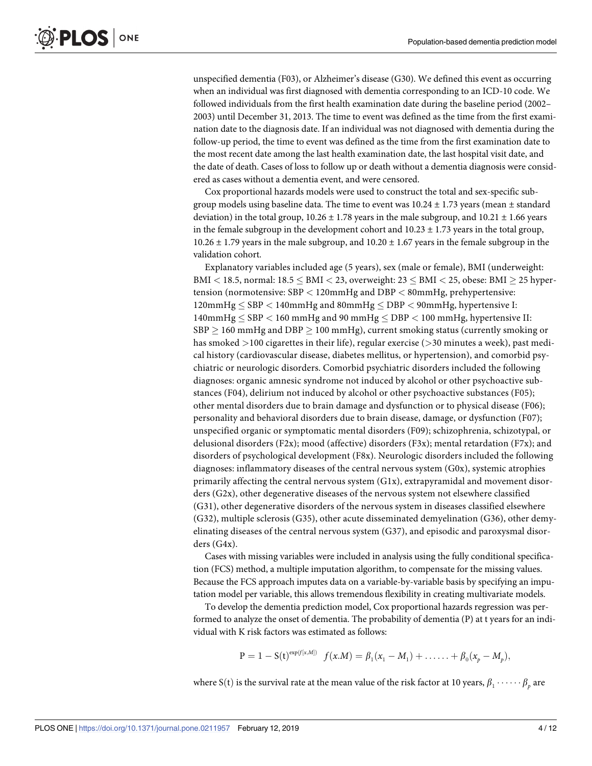unspecified dementia (F03), or Alzheimer's disease (G30). We defined this event as occurring when an individual was first diagnosed with dementia corresponding to an ICD-10 code. We followed individuals from the first health examination date during the baseline period (2002– 2003) until December 31, 2013. The time to event was defined as the time from the first examination date to the diagnosis date. If an individual was not diagnosed with dementia during the follow-up period, the time to event was defined as the time from the first examination date to the most recent date among the last health examination date, the last hospital visit date, and the date of death. Cases of loss to follow up or death without a dementia diagnosis were considered as cases without a dementia event, and were censored.

Cox proportional hazards models were used to construct the total and sex-specific subgroup models using baseline data. The time to event was  $10.24 \pm 1.73$  years (mean  $\pm$  standard deviation) in the total group,  $10.26 \pm 1.78$  years in the male subgroup, and  $10.21 \pm 1.66$  years in the female subgroup in the development cohort and  $10.23 \pm 1.73$  years in the total group, 10.26  $\pm$  1.79 years in the male subgroup, and 10.20  $\pm$  1.67 years in the female subgroup in the validation cohort.

Explanatory variables included age (5 years), sex (male or female), BMI (underweight: BMI *<* 18.5, normal: 18.5 � BMI *<* 23, overweight: 23 � BMI *<* 25, obese: BMI � 25 hypertension (normotensive: SBP *<* 120mmHg and DBP *<* 80mmHg, prehypertensive: 120mmHg � SBP *<* 140mmHg and 80mmHg � DBP *<* 90mmHg, hypertensive I: 140mmHg � SBP *<* 160 mmHg and 90 mmHg � DBP *<* 100 mmHg, hypertensive II:  $SBP \geq 160$  mmHg and  $DBP \geq 100$  mmHg), current smoking status (currently smoking or has smoked *>*100 cigarettes in their life), regular exercise (*>*30 minutes a week), past medical history (cardiovascular disease, diabetes mellitus, or hypertension), and comorbid psychiatric or neurologic disorders. Comorbid psychiatric disorders included the following diagnoses: organic amnesic syndrome not induced by alcohol or other psychoactive substances (F04), delirium not induced by alcohol or other psychoactive substances (F05); other mental disorders due to brain damage and dysfunction or to physical disease (F06); personality and behavioral disorders due to brain disease, damage, or dysfunction (F07); unspecified organic or symptomatic mental disorders (F09); schizophrenia, schizotypal, or delusional disorders (F2x); mood (affective) disorders (F3x); mental retardation (F7x); and disorders of psychological development (F8x). Neurologic disorders included the following diagnoses: inflammatory diseases of the central nervous system (G0x), systemic atrophies primarily affecting the central nervous system (G1x), extrapyramidal and movement disorders (G2x), other degenerative diseases of the nervous system not elsewhere classified (G31), other degenerative disorders of the nervous system in diseases classified elsewhere (G32), multiple sclerosis (G35), other acute disseminated demyelination (G36), other demyelinating diseases of the central nervous system (G37), and episodic and paroxysmal disorders (G4x).

Cases with missing variables were included in analysis using the fully conditional specification (FCS) method, a multiple imputation algorithm, to compensate for the missing values. Because the FCS approach imputes data on a variable-by-variable basis by specifying an imputation model per variable, this allows tremendous flexibility in creating multivariate models.

To develop the dementia prediction model, Cox proportional hazards regression was performed to analyze the onset of dementia. The probability of dementia (P) at t years for an individual with K risk factors was estimated as follows:

$$
P = 1 - S(t)^{\exp(f[x,M])} f(x.M) = \beta_1(x_1 - M_1) + \ldots + \beta_0(x_p - M_p),
$$

where S(t) is the survival rate at the mean value of the risk factor at 10 years,  $\beta_1 \cdots \cdots \beta_n$  are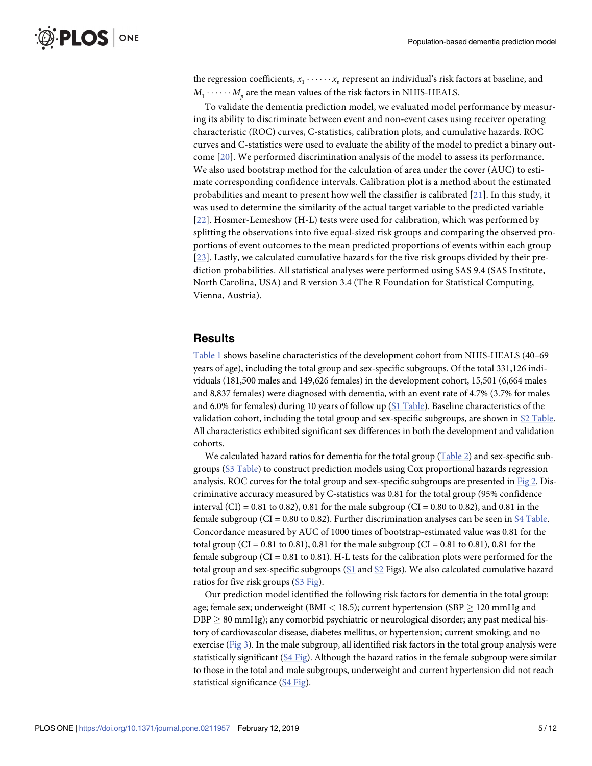<span id="page-4-0"></span>the regression coefficients,  $x_1 \cdot \cdot \cdot \cdot \cdot x_p$  represent an individual's risk factors at baseline, and  $M_1 \cdot \cdot \cdot \cdot \cdot M_n$  are the mean values of the risk factors in NHIS-HEALS.

To validate the dementia prediction model, we evaluated model performance by measuring its ability to discriminate between event and non-event cases using receiver operating characteristic (ROC) curves, C-statistics, calibration plots, and cumulative hazards. ROC curves and C-statistics were used to evaluate the ability of the model to predict a binary outcome [[20\]](#page-10-0). We performed discrimination analysis of the model to assess its performance. We also used bootstrap method for the calculation of area under the cover (AUC) to estimate corresponding confidence intervals. Calibration plot is a method about the estimated probabilities and meant to present how well the classifier is calibrated [[21](#page-10-0)]. In this study, it was used to determine the similarity of the actual target variable to the predicted variable [[22](#page-10-0)]. Hosmer-Lemeshow (H-L) tests were used for calibration, which was performed by splitting the observations into five equal-sized risk groups and comparing the observed proportions of event outcomes to the mean predicted proportions of events within each group [[23](#page-10-0)]. Lastly, we calculated cumulative hazards for the five risk groups divided by their prediction probabilities. All statistical analyses were performed using SAS 9.4 (SAS Institute, North Carolina, USA) and R version 3.4 (The R Foundation for Statistical Computing, Vienna, Austria).

#### **Results**

[Table](#page-5-0) 1 shows baseline characteristics of the development cohort from NHIS-HEALS (40–69 years of age), including the total group and sex-specific subgroups. Of the total 331,126 individuals (181,500 males and 149,626 females) in the development cohort, 15,501 (6,664 males and 8,837 females) were diagnosed with dementia, with an event rate of 4.7% (3.7% for males and 6.0% for females) during 10 years of follow up (S1 [Table\)](#page-9-0). Baseline characteristics of the validation cohort, including the total group and sex-specific subgroups, are shown in S2 [Table](#page-9-0). All characteristics exhibited significant sex differences in both the development and validation cohorts.

We calculated hazard ratios for dementia for the total group ([Table](#page-6-0) 2) and sex-specific subgroups (S3 [Table\)](#page-9-0) to construct prediction models using Cox proportional hazards regression analysis. ROC curves for the total group and sex-specific subgroups are presented in [Fig](#page-7-0) 2. Discriminative accuracy measured by C-statistics was 0.81 for the total group (95% confidence interval (CI) = 0.81 to 0.82), 0.81 for the male subgroup (CI = 0.80 to 0.82), and 0.81 in the female subgroup (CI =  $0.80$  to  $0.82$ ). Further discrimination analyses can be seen in S4 [Table](#page-9-0). Concordance measured by AUC of 1000 times of bootstrap-estimated value was 0.81 for the total group (CI =  $0.81$  to  $0.81$ ),  $0.81$  for the male subgroup (CI =  $0.81$  to  $0.81$ ),  $0.81$  for the female subgroup ( $CI = 0.81$  to 0.81). H-L tests for the calibration plots were performed for the total group and sex-specific subgroups [\(S1](#page-9-0) and [S2](#page-9-0) Figs). We also calculated cumulative hazard ratios for five risk groups (S3 [Fig\)](#page-9-0).

Our prediction model identified the following risk factors for dementia in the total group: age; female sex; underweight (BMI < 18.5); current hypertension (SBP  $\geq$  120 mmHg and  $DBP \geq 80$  mmHg); any comorbid psychiatric or neurological disorder; any past medical history of cardiovascular disease, diabetes mellitus, or hypertension; current smoking; and no exercise [\(Fig](#page-8-0) 3). In the male subgroup, all identified risk factors in the total group analysis were statistically significant (S4 [Fig\)](#page-9-0). Although the hazard ratios in the female subgroup were similar to those in the total and male subgroups, underweight and current hypertension did not reach statistical significance (S4 [Fig](#page-9-0)).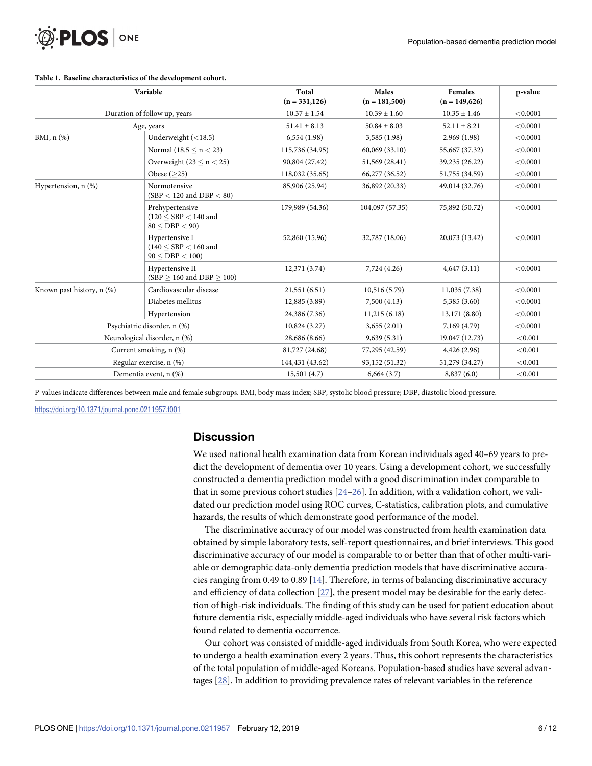<span id="page-5-0"></span>

| Variable<br>Duration of follow up, years<br>Age, years |                                                                        | Total<br>$(n = 331, 126)$ | Males<br>$(n = 181,500)$<br>$10.39 \pm 1.60$<br>$50.84 \pm 8.03$ | <b>Females</b><br>$(n = 149,626)$<br>$10.35 \pm 1.46$<br>$52.11 \pm 8.21$ | p-value<br>< 0.0001<br>< 0.0001 |
|--------------------------------------------------------|------------------------------------------------------------------------|---------------------------|------------------------------------------------------------------|---------------------------------------------------------------------------|---------------------------------|
|                                                        |                                                                        | $10.37 \pm 1.54$          |                                                                  |                                                                           |                                 |
|                                                        |                                                                        | $51.41 \pm 8.13$          |                                                                  |                                                                           |                                 |
| BMI, $n$ $(\%)$                                        | Underweight $(<18.5)$                                                  | 6,554(1.98)               | 3,585(1.98)                                                      | 2.969(1.98)                                                               | < 0.0001                        |
|                                                        | Normal $(18.5 \le n \le 23)$                                           | 115,736 (34.95)           | 60,069 (33.10)                                                   | 55,667 (37.32)                                                            | < 0.0001                        |
|                                                        | Overweight $(23 \le n \le 25)$                                         | 90,804 (27.42)            | 51,569 (28.41)                                                   | 39,235 (26.22)                                                            | < 0.0001                        |
|                                                        | Obese $($ >25 $)$                                                      | 118,032 (35.65)           | 66,277 (36.52)                                                   | 51,755 (34.59)                                                            | < 0.0001                        |
| Hypertension, n (%)                                    | Normotensive<br>$(SBP < 120$ and $DBP < 80$ )                          | 85,906 (25.94)            | 36,892 (20.33)                                                   | 49,014 (32.76)                                                            | < 0.0001                        |
|                                                        | Prehypertensive<br>$(120 \leq$ SBP $< 140$ and<br>80 < DBP < 90        | 179,989 (54.36)           | 104,097 (57.35)                                                  | 75,892 (50.72)                                                            | < 0.0001                        |
|                                                        | Hypertensive I<br>$(140 \leq \mathrm{SBP} < 160$ and<br>90 < DBP < 100 | 52,860 (15.96)            | 32,787 (18.06)                                                   | 20,073 (13.42)                                                            | < 0.0001                        |
|                                                        | Hypertensive II<br>$(SBP > 160$ and $DBP > 100$ )                      | 12,371 (3.74)             | 7,724 (4.26)                                                     | 4,647(3.11)                                                               | < 0.0001                        |
| Known past history, n (%)                              | Cardiovascular disease                                                 | 21,551(6.51)              | 10,516(5.79)                                                     | 11,035(7.38)                                                              | < 0.0001                        |
|                                                        | Diabetes mellitus                                                      | 12,885 (3.89)             | 7,500(4.13)                                                      | 5,385 (3.60)                                                              | < 0.0001                        |
|                                                        | Hypertension                                                           | 24,386 (7.36)             | 11,215(6.18)                                                     | 13,171 (8.80)                                                             | < 0.0001                        |
| Psychiatric disorder, n (%)                            |                                                                        | 10,824(3.27)              | 3,655(2.01)                                                      | 7,169 (4.79)                                                              | < 0.0001                        |
| Neurological disorder, n (%)                           |                                                                        | 28,686 (8.66)             | 9,639(5.31)                                                      | 19.047 (12.73)                                                            | < 0.001                         |
| Current smoking, n (%)                                 |                                                                        | 81,727 (24.68)            | 77,295 (42.59)                                                   | 4,426(2.96)                                                               | < 0.001                         |
| Regular exercise, n (%)                                |                                                                        | 144,431 (43.62)           | 93,152 (51.32)                                                   | 51,279 (34.27)                                                            | < 0.001                         |
| Dementia event, n (%)                                  |                                                                        | 15,501(4.7)               | 6,664(3.7)                                                       | 8,837(6.0)                                                                | < 0.001                         |

#### **[Table](#page-4-0) 1. Baseline characteristics of the development cohort.**

P-values indicate differences between male and female subgroups. BMI, body mass index; SBP, systolic blood pressure; DBP, diastolic blood pressure.

<https://doi.org/10.1371/journal.pone.0211957.t001>

### **Discussion**

We used national health examination data from Korean individuals aged 40–69 years to predict the development of dementia over 10 years. Using a development cohort, we successfully constructed a dementia prediction model with a good discrimination index comparable to that in some previous cohort studies  $[24–26]$  $[24–26]$ . In addition, with a validation cohort, we validated our prediction model using ROC curves, C-statistics, calibration plots, and cumulative hazards, the results of which demonstrate good performance of the model.

The discriminative accuracy of our model was constructed from health examination data obtained by simple laboratory tests, self-report questionnaires, and brief interviews. This good discriminative accuracy of our model is comparable to or better than that of other multi-variable or demographic data-only dementia prediction models that have discriminative accuracies ranging from 0.49 to 0.89 [\[14\]](#page-10-0). Therefore, in terms of balancing discriminative accuracy and efficiency of data collection [\[27\]](#page-11-0), the present model may be desirable for the early detection of high-risk individuals. The finding of this study can be used for patient education about future dementia risk, especially middle-aged individuals who have several risk factors which found related to dementia occurrence.

Our cohort was consisted of middle-aged individuals from South Korea, who were expected to undergo a health examination every 2 years. Thus, this cohort represents the characteristics of the total population of middle-aged Koreans. Population-based studies have several advantages [\[28\]](#page-11-0). In addition to providing prevalence rates of relevant variables in the reference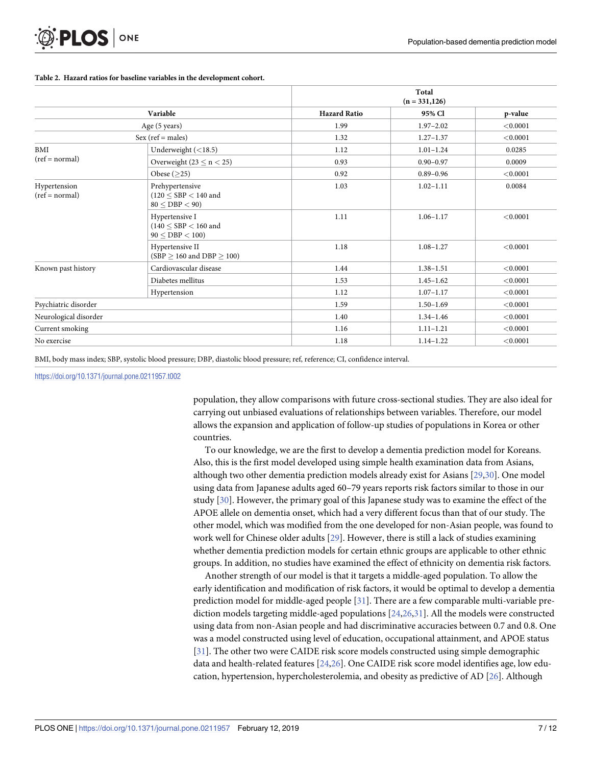<span id="page-6-0"></span>

|                                  |                                                                 | Total<br>$(n = 331, 126)$ |               |          |
|----------------------------------|-----------------------------------------------------------------|---------------------------|---------------|----------|
|                                  | Variable                                                        | <b>Hazard Ratio</b>       | 95% Cl        | p-value  |
| Age (5 years)                    |                                                                 | 1.99                      | $1.97 - 2.02$ | < 0.0001 |
| $Sex (ref = males)$              |                                                                 | 1.32                      | $1.27 - 1.37$ | < 0.0001 |
| BMI<br>$(ref = normal)$          | Underweight $(<18.5)$                                           | 1.12                      | $1.01 - 1.24$ | 0.0285   |
|                                  | Overweight (23 $\leq$ n $<$ 25)                                 | 0.93                      | $0.90 - 0.97$ | 0.0009   |
|                                  | Obese $($ >25 $)$                                               | 0.92                      | $0.89 - 0.96$ | < 0.0001 |
| Hypertension<br>$(ref = normal)$ | Prehypertensive<br>$(120 \leq$ SBP $< 140$ and<br>80 < DBP < 90 | 1.03                      | $1.02 - 1.11$ | 0.0084   |
|                                  | Hypertensive I<br>$(140 \leq$ SBP $< 160$ and<br>90 < DBP < 100 | 1.11                      | $1.06 - 1.17$ | < 0.0001 |
|                                  | Hypertensive II<br>(SBP $\geq$ 160 and DBP $\geq$ 100)          | 1.18                      | $1.08 - 1.27$ | < 0.0001 |
| Known past history               | Cardiovascular disease                                          | 1.44                      | $1.38 - 1.51$ | < 0.0001 |
|                                  | Diabetes mellitus                                               | 1.53                      | $1.45 - 1.62$ | < 0.0001 |
|                                  | Hypertension                                                    | 1.12                      | $1.07 - 1.17$ | < 0.0001 |
| Psychiatric disorder             |                                                                 | 1.59                      | $1.50 - 1.69$ | < 0.0001 |
| Neurological disorder            |                                                                 | 1.40                      | $1.34 - 1.46$ | < 0.0001 |
| Current smoking                  |                                                                 | 1.16                      | $1.11 - 1.21$ | < 0.0001 |
| No exercise                      |                                                                 | 1.18                      | $1.14 - 1.22$ | < 0.0001 |

#### **[Table](#page-4-0) 2. Hazard ratios for baseline variables in the development cohort.**

BMI, body mass index; SBP, systolic blood pressure; DBP, diastolic blood pressure; ref, reference; CI, confidence interval.

#### <https://doi.org/10.1371/journal.pone.0211957.t002>

population, they allow comparisons with future cross-sectional studies. They are also ideal for carrying out unbiased evaluations of relationships between variables. Therefore, our model allows the expansion and application of follow-up studies of populations in Korea or other countries.

To our knowledge, we are the first to develop a dementia prediction model for Koreans. Also, this is the first model developed using simple health examination data from Asians, although two other dementia prediction models already exist for Asians [\[29,30](#page-11-0)]. One model using data from Japanese adults aged 60–79 years reports risk factors similar to those in our study [\[30\]](#page-11-0). However, the primary goal of this Japanese study was to examine the effect of the APOE allele on dementia onset, which had a very different focus than that of our study. The other model, which was modified from the one developed for non-Asian people, was found to work well for Chinese older adults [[29](#page-11-0)]. However, there is still a lack of studies examining whether dementia prediction models for certain ethnic groups are applicable to other ethnic groups. In addition, no studies have examined the effect of ethnicity on dementia risk factors.

Another strength of our model is that it targets a middle-aged population. To allow the early identification and modification of risk factors, it would be optimal to develop a dementia prediction model for middle-aged people [\[31\]](#page-11-0). There are a few comparable multi-variable prediction models targeting middle-aged populations [[24](#page-11-0),[26,31\]](#page-11-0). All the models were constructed using data from non-Asian people and had discriminative accuracies between 0.7 and 0.8. One was a model constructed using level of education, occupational attainment, and APOE status [\[31\]](#page-11-0). The other two were CAIDE risk score models constructed using simple demographic data and health-related features [[24](#page-11-0),[26](#page-11-0)]. One CAIDE risk score model identifies age, low education, hypertension, hypercholesterolemia, and obesity as predictive of AD [\[26\]](#page-11-0). Although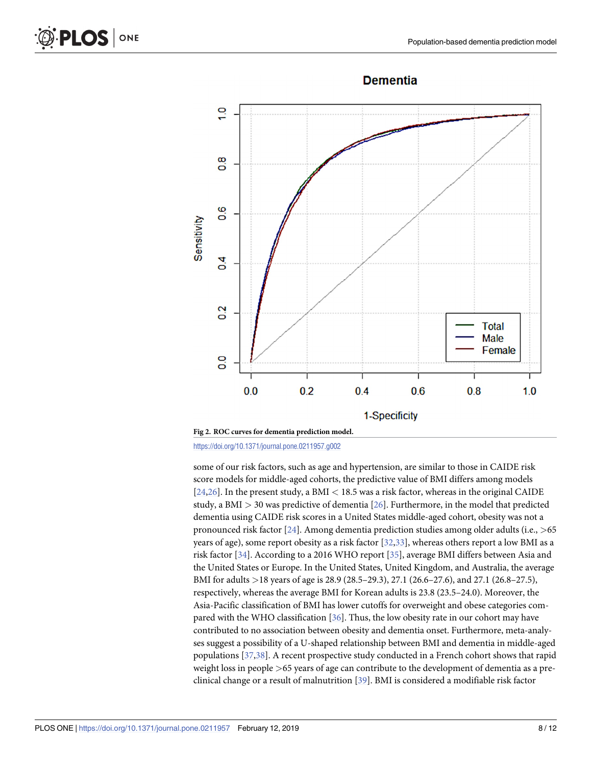

<span id="page-7-0"></span>

<https://doi.org/10.1371/journal.pone.0211957.g002>

some of our risk factors, such as age and hypertension, are similar to those in CAIDE risk score models for middle-aged cohorts, the predictive value of BMI differs among models [\[24,26\]](#page-11-0). In the present study, a BMI *<* 18.5 was a risk factor, whereas in the original CAIDE study, a BMI *>* 30 was predictive of dementia [[26](#page-11-0)]. Furthermore, in the model that predicted dementia using CAIDE risk scores in a United States middle-aged cohort, obesity was not a pronounced risk factor [\[24\]](#page-11-0). Among dementia prediction studies among older adults (i.e., *>*65 years of age), some report obesity as a risk factor [\[32,33\]](#page-11-0), whereas others report a low BMI as a risk factor [\[34\]](#page-11-0). According to a 2016 WHO report [\[35\]](#page-11-0), average BMI differs between Asia and the United States or Europe. In the United States, United Kingdom, and Australia, the average BMI for adults *>*18 years of age is 28.9 (28.5–29.3), 27.1 (26.6–27.6), and 27.1 (26.8–27.5), respectively, whereas the average BMI for Korean adults is 23.8 (23.5–24.0). Moreover, the Asia-Pacific classification of BMI has lower cutoffs for overweight and obese categories compared with the WHO classification [\[36\]](#page-11-0). Thus, the low obesity rate in our cohort may have contributed to no association between obesity and dementia onset. Furthermore, meta-analyses suggest a possibility of a U-shaped relationship between BMI and dementia in middle-aged populations [[37](#page-11-0),[38](#page-11-0)]. A recent prospective study conducted in a French cohort shows that rapid weight loss in people *>*65 years of age can contribute to the development of dementia as a preclinical change or a result of malnutrition [\[39\]](#page-11-0). BMI is considered a modifiable risk factor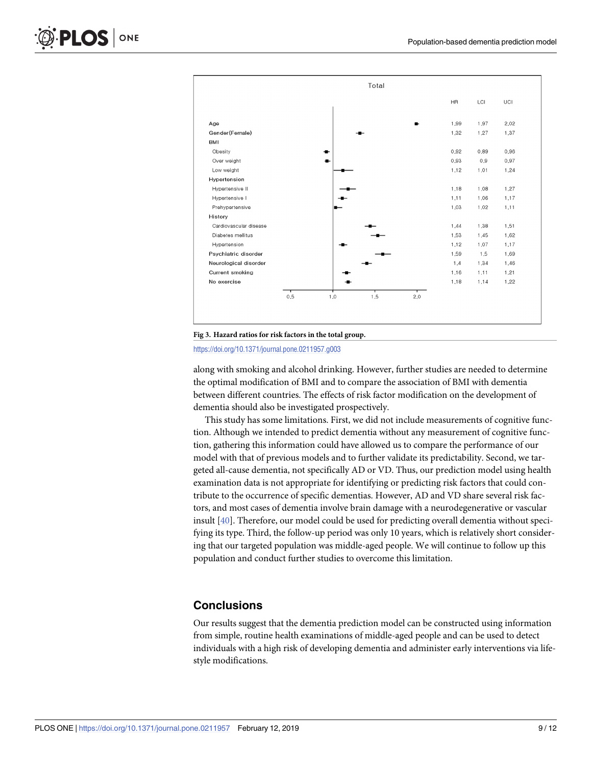<span id="page-8-0"></span>



<https://doi.org/10.1371/journal.pone.0211957.g003>

along with smoking and alcohol drinking. However, further studies are needed to determine the optimal modification of BMI and to compare the association of BMI with dementia between different countries. The effects of risk factor modification on the development of dementia should also be investigated prospectively.

This study has some limitations. First, we did not include measurements of cognitive function. Although we intended to predict dementia without any measurement of cognitive function, gathering this information could have allowed us to compare the performance of our model with that of previous models and to further validate its predictability. Second, we targeted all-cause dementia, not specifically AD or VD. Thus, our prediction model using health examination data is not appropriate for identifying or predicting risk factors that could contribute to the occurrence of specific dementias. However, AD and VD share several risk factors, and most cases of dementia involve brain damage with a neurodegenerative or vascular insult [\[40\]](#page-11-0). Therefore, our model could be used for predicting overall dementia without specifying its type. Third, the follow-up period was only 10 years, which is relatively short considering that our targeted population was middle-aged people. We will continue to follow up this population and conduct further studies to overcome this limitation.

## **Conclusions**

Our results suggest that the dementia prediction model can be constructed using information from simple, routine health examinations of middle-aged people and can be used to detect individuals with a high risk of developing dementia and administer early interventions via lifestyle modifications.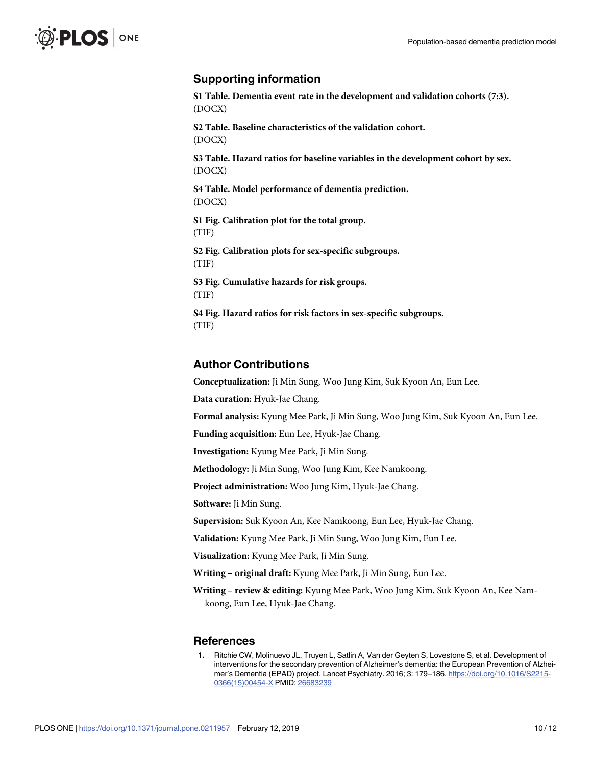# <span id="page-9-0"></span>**Supporting information**

**S1 [Table.](http://www.plosone.org/article/fetchSingleRepresentation.action?uri=info:doi/10.1371/journal.pone.0211957.s001) Dementia event rate in the development and validation cohorts (7:3).** (DOCX)

**S2 [Table.](http://www.plosone.org/article/fetchSingleRepresentation.action?uri=info:doi/10.1371/journal.pone.0211957.s002) Baseline characteristics of the validation cohort.** (DOCX)

**S3 [Table.](http://www.plosone.org/article/fetchSingleRepresentation.action?uri=info:doi/10.1371/journal.pone.0211957.s003) Hazard ratios for baseline variables in the development cohort by sex.** (DOCX)

**S4 [Table.](http://www.plosone.org/article/fetchSingleRepresentation.action?uri=info:doi/10.1371/journal.pone.0211957.s004) Model performance of dementia prediction.** (DOCX)

**S1 [Fig](http://www.plosone.org/article/fetchSingleRepresentation.action?uri=info:doi/10.1371/journal.pone.0211957.s005). Calibration plot for the total group.** (TIF)

**S2 [Fig](http://www.plosone.org/article/fetchSingleRepresentation.action?uri=info:doi/10.1371/journal.pone.0211957.s006). Calibration plots for sex-specific subgroups.** (TIF)

**S3 [Fig](http://www.plosone.org/article/fetchSingleRepresentation.action?uri=info:doi/10.1371/journal.pone.0211957.s007). Cumulative hazards for risk groups.** (TIF)

**S4 [Fig](http://www.plosone.org/article/fetchSingleRepresentation.action?uri=info:doi/10.1371/journal.pone.0211957.s008). Hazard ratios for risk factors in sex-specific subgroups.** (TIF)

# **Author Contributions**

**Conceptualization:** Ji Min Sung, Woo Jung Kim, Suk Kyoon An, Eun Lee.

**Data curation:** Hyuk-Jae Chang.

**Formal analysis:** Kyung Mee Park, Ji Min Sung, Woo Jung Kim, Suk Kyoon An, Eun Lee.

**Funding acquisition:** Eun Lee, Hyuk-Jae Chang.

**Investigation:** Kyung Mee Park, Ji Min Sung.

**Methodology:** Ji Min Sung, Woo Jung Kim, Kee Namkoong.

**Project administration:** Woo Jung Kim, Hyuk-Jae Chang.

**Software:** Ji Min Sung.

**Supervision:** Suk Kyoon An, Kee Namkoong, Eun Lee, Hyuk-Jae Chang.

**Validation:** Kyung Mee Park, Ji Min Sung, Woo Jung Kim, Eun Lee.

**Visualization:** Kyung Mee Park, Ji Min Sung.

**Writing – original draft:** Kyung Mee Park, Ji Min Sung, Eun Lee.

**Writing – review & editing:** Kyung Mee Park, Woo Jung Kim, Suk Kyoon An, Kee Namkoong, Eun Lee, Hyuk-Jae Chang.

#### **References**

**[1](#page-1-0).** Ritchie CW, Molinuevo JL, Truyen L, Satlin A, Van der Geyten S, Lovestone S, et al. Development of interventions for the secondary prevention of Alzheimer's dementia: the European Prevention of Alzheimer's Dementia (EPAD) project. Lancet Psychiatry. 2016; 3: 179–186. [https://doi.org/10.1016/S2215-](https://doi.org/10.1016/S2215-0366(15)00454-X) [0366\(15\)00454-X](https://doi.org/10.1016/S2215-0366(15)00454-X) PMID: [26683239](http://www.ncbi.nlm.nih.gov/pubmed/26683239)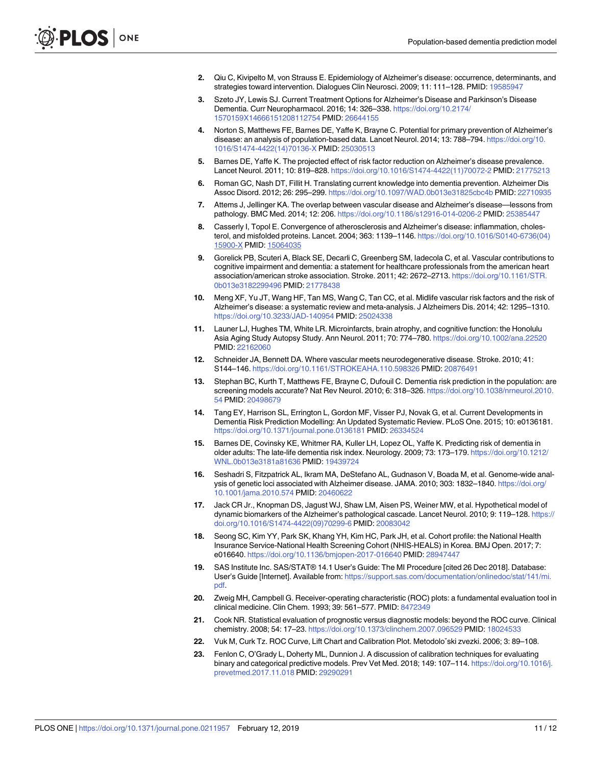- <span id="page-10-0"></span>**[2](#page-1-0).** Qiu C, Kivipelto M, von Strauss E. Epidemiology of Alzheimer's disease: occurrence, determinants, and strategies toward intervention. Dialogues Clin Neurosci. 2009; 11: 111–128. PMID: [19585947](http://www.ncbi.nlm.nih.gov/pubmed/19585947)
- **[3](#page-1-0).** Szeto JY, Lewis SJ. Current Treatment Options for Alzheimer's Disease and Parkinson's Disease Dementia. Curr Neuropharmacol. 2016; 14: 326–338. [https://doi.org/10.2174/](https://doi.org/10.2174/1570159X14666151208112754) [1570159X14666151208112754](https://doi.org/10.2174/1570159X14666151208112754) PMID: [26644155](http://www.ncbi.nlm.nih.gov/pubmed/26644155)
- **[4](#page-1-0).** Norton S, Matthews FE, Barnes DE, Yaffe K, Brayne C. Potential for primary prevention of Alzheimer's disease: an analysis of population-based data. Lancet Neurol. 2014; 13: 788–794. [https://doi.org/10.](https://doi.org/10.1016/S1474-4422(14)70136-X) [1016/S1474-4422\(14\)70136-X](https://doi.org/10.1016/S1474-4422(14)70136-X) PMID: [25030513](http://www.ncbi.nlm.nih.gov/pubmed/25030513)
- **[5](#page-1-0).** Barnes DE, Yaffe K. The projected effect of risk factor reduction on Alzheimer's disease prevalence. Lancet Neurol. 2011; 10: 819–828. [https://doi.org/10.1016/S1474-4422\(11\)70072-2](https://doi.org/10.1016/S1474-4422(11)70072-2) PMID: [21775213](http://www.ncbi.nlm.nih.gov/pubmed/21775213)
- **[6](#page-1-0).** Roman GC, Nash DT, Fillit H. Translating current knowledge into dementia prevention. Alzheimer Dis Assoc Disord. 2012; 26: 295–299. <https://doi.org/10.1097/WAD.0b013e31825cbc4b> PMID: [22710935](http://www.ncbi.nlm.nih.gov/pubmed/22710935)
- **[7](#page-1-0).** Attems J, Jellinger KA. The overlap between vascular disease and Alzheimer's disease—lessons from pathology. BMC Med. 2014; 12: 206. <https://doi.org/10.1186/s12916-014-0206-2> PMID: [25385447](http://www.ncbi.nlm.nih.gov/pubmed/25385447)
- **[8](#page-1-0).** Casserly I, Topol E. Convergence of atherosclerosis and Alzheimer's disease: inflammation, cholesterol, and misfolded proteins. Lancet. 2004; 363: 1139–1146. [https://doi.org/10.1016/S0140-6736\(04\)](https://doi.org/10.1016/S0140-6736(04)15900-X) [15900-X](https://doi.org/10.1016/S0140-6736(04)15900-X) PMID: [15064035](http://www.ncbi.nlm.nih.gov/pubmed/15064035)
- **9.** Gorelick PB, Scuteri A, Black SE, Decarli C, Greenberg SM, Iadecola C, et al. Vascular contributions to cognitive impairment and dementia: a statement for healthcare professionals from the american heart association/american stroke association. Stroke. 2011; 42: 2672–2713. [https://doi.org/10.1161/STR.](https://doi.org/10.1161/STR.0b013e3182299496) [0b013e3182299496](https://doi.org/10.1161/STR.0b013e3182299496) PMID: [21778438](http://www.ncbi.nlm.nih.gov/pubmed/21778438)
- **[10](#page-1-0).** Meng XF, Yu JT, Wang HF, Tan MS, Wang C, Tan CC, et al. Midlife vascular risk factors and the risk of Alzheimer's disease: a systematic review and meta-analysis. J Alzheimers Dis. 2014; 42: 1295–1310. <https://doi.org/10.3233/JAD-140954> PMID: [25024338](http://www.ncbi.nlm.nih.gov/pubmed/25024338)
- **[11](#page-1-0).** Launer LJ, Hughes TM, White LR. Microinfarcts, brain atrophy, and cognitive function: the Honolulu Asia Aging Study Autopsy Study. Ann Neurol. 2011; 70: 774–780. <https://doi.org/10.1002/ana.22520> PMID: [22162060](http://www.ncbi.nlm.nih.gov/pubmed/22162060)
- **[12](#page-1-0).** Schneider JA, Bennett DA. Where vascular meets neurodegenerative disease. Stroke. 2010; 41: S144–146. <https://doi.org/10.1161/STROKEAHA.110.598326> PMID: [20876491](http://www.ncbi.nlm.nih.gov/pubmed/20876491)
- **[13](#page-1-0).** Stephan BC, Kurth T, Matthews FE, Brayne C, Dufouil C. Dementia risk prediction in the population: are screening models accurate? Nat Rev Neurol. 2010; 6: 318–326. [https://doi.org/10.1038/nrneurol.2010.](https://doi.org/10.1038/nrneurol.2010.54) [54](https://doi.org/10.1038/nrneurol.2010.54) PMID: [20498679](http://www.ncbi.nlm.nih.gov/pubmed/20498679)
- **[14](#page-1-0).** Tang EY, Harrison SL, Errington L, Gordon MF, Visser PJ, Novak G, et al. Current Developments in Dementia Risk Prediction Modelling: An Updated Systematic Review. PLoS One. 2015; 10: e0136181. <https://doi.org/10.1371/journal.pone.0136181> PMID: [26334524](http://www.ncbi.nlm.nih.gov/pubmed/26334524)
- **[15](#page-1-0).** Barnes DE, Covinsky KE, Whitmer RA, Kuller LH, Lopez OL, Yaffe K. Predicting risk of dementia in older adults: The late-life dementia risk index. Neurology. 2009; 73: 173–179. [https://doi.org/10.1212/](https://doi.org/10.1212/WNL.0b013e3181a81636) [WNL.0b013e3181a81636](https://doi.org/10.1212/WNL.0b013e3181a81636) PMID: [19439724](http://www.ncbi.nlm.nih.gov/pubmed/19439724)
- **[16](#page-1-0).** Seshadri S, Fitzpatrick AL, Ikram MA, DeStefano AL, Gudnason V, Boada M, et al. Genome-wide analysis of genetic loci associated with Alzheimer disease. JAMA. 2010; 303: 1832–1840. [https://doi.org/](https://doi.org/10.1001/jama.2010.574) [10.1001/jama.2010.574](https://doi.org/10.1001/jama.2010.574) PMID: [20460622](http://www.ncbi.nlm.nih.gov/pubmed/20460622)
- **[17](#page-1-0).** Jack CR Jr., Knopman DS, Jagust WJ, Shaw LM, Aisen PS, Weiner MW, et al. Hypothetical model of dynamic biomarkers of the Alzheimer's pathological cascade. Lancet Neurol. 2010; 9: 119-128. [https://](https://doi.org/10.1016/S1474-4422(09)70299-6) [doi.org/10.1016/S1474-4422\(09\)70299-6](https://doi.org/10.1016/S1474-4422(09)70299-6) PMID: [20083042](http://www.ncbi.nlm.nih.gov/pubmed/20083042)
- **[18](#page-1-0).** Seong SC, Kim YY, Park SK, Khang YH, Kim HC, Park JH, et al. Cohort profile: the National Health Insurance Service-National Health Screening Cohort (NHIS-HEALS) in Korea. BMJ Open. 2017; 7: e016640. <https://doi.org/10.1136/bmjopen-2017-016640> PMID: [28947447](http://www.ncbi.nlm.nih.gov/pubmed/28947447)
- **[19](#page-2-0).** SAS Institute Inc. SAS/STAT® 14.1 User's Guide: The MI Procedure [cited 26 Dec 2018]. Database: User's Guide [Internet]. Available from: [https://support.sas.com/documentation/onlinedoc/stat/141/mi.](https://support.sas.com/documentation/onlinedoc/stat/141/mi.pdf) [pdf](https://support.sas.com/documentation/onlinedoc/stat/141/mi.pdf).
- **[20](#page-4-0).** Zweig MH, Campbell G. Receiver-operating characteristic (ROC) plots: a fundamental evaluation tool in clinical medicine. Clin Chem. 1993; 39: 561–577. PMID: [8472349](http://www.ncbi.nlm.nih.gov/pubmed/8472349)
- **[21](#page-4-0).** Cook NR. Statistical evaluation of prognostic versus diagnostic models: beyond the ROC curve. Clinical chemistry. 2008; 54: 17–23. <https://doi.org/10.1373/clinchem.2007.096529> PMID: [18024533](http://www.ncbi.nlm.nih.gov/pubmed/18024533)
- **[22](#page-4-0).** Vuk M, Curk Tz. ROC Curve, Lift Chart and Calibration Plot. Metodoloˇski zvezki. 2006; 3: 89–108.
- **[23](#page-4-0).** Fenlon C, O'Grady L, Doherty ML, Dunnion J. A discussion of calibration techniques for evaluating binary and categorical predictive models. Prev Vet Med. 2018; 149: 107–114. [https://doi.org/10.1016/j.](https://doi.org/10.1016/j.prevetmed.2017.11.018) [prevetmed.2017.11.018](https://doi.org/10.1016/j.prevetmed.2017.11.018) PMID: [29290291](http://www.ncbi.nlm.nih.gov/pubmed/29290291)